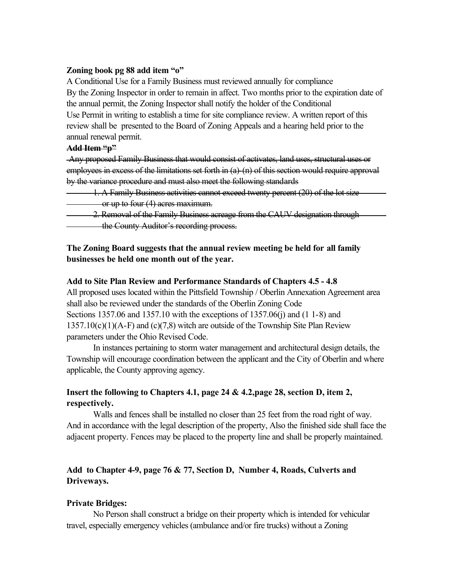#### **Zoning book pg 88 add item "o"**

A Conditional Use for a Family Business must reviewed annually for compliance By the Zoning Inspector in order to remain in affect. Two months prior to the expiration date of the annual permit, the Zoning Inspector shall notify the holder of the Conditional Use Permit in writing to establish a time for site compliance review. A written report of this review shall be presented to the Board of Zoning Appeals and a hearing held prior to the annual renewal permit.

## **Add Item "p"**

 Any proposed Family Business that would consist of activates, land uses, structural uses or employees in excess of the limitations set forth in (a)-(n) of this section would require approval by the variance procedure and must also meet the following standards

- 1. A Family Business activities cannot exceed twenty percent (20) of the lot size or up to four (4) acres maximum.
- 2. Removal of the Family Business acreage from the CAUV designation through the County Auditor's recording process.

## **The Zoning Board suggests that the annual review meeting be held for all family businesses be held one month out of the year.**

#### **Add to Site Plan Review and Performance Standards of Chapters 4.5 - 4.8**

All proposed uses located within the Pittsfield Township / Oberlin Annexation Agreement area shall also be reviewed under the standards of the Oberlin Zoning Code Sections 1357.06 and 1357.10 with the exceptions of 1357.06(j) and (1 1-8) and  $1357.10(c)(1)(A-F)$  and  $(c)(7,8)$  witch are outside of the Township Site Plan Review parameters under the Ohio Revised Code.

In instances pertaining to storm water management and architectural design details, the Township will encourage coordination between the applicant and the City of Oberlin and where applicable, the County approving agency.

# **Insert the following to Chapters 4.1, page 24 & 4.2,page 28, section D, item 2, respectively.**

Walls and fences shall be installed no closer than 25 feet from the road right of way. And in accordance with the legal description of the property, Also the finished side shall face the adjacent property. Fences may be placed to the property line and shall be properly maintained.

# **Add to Chapter 4-9, page 76 & 77, Section D, Number 4, Roads, Culverts and Driveways.**

## **Private Bridges:**

No Person shall construct a bridge on their property which is intended for vehicular travel, especially emergency vehicles (ambulance and/or fire trucks) without a Zoning